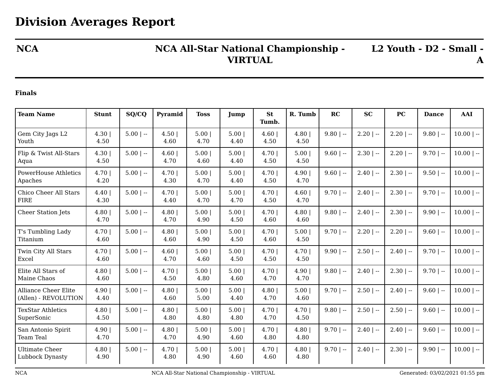## **NCA NCA All-Star National Championship - VIRTUAL**

**L2 Youth - D2 - Small - A**

## **Finals**

| <b>Team Name</b>                                    | <b>Stunt</b>  | SQ/CQ       | Pyramid       | <b>Toss</b>  | Jump         | <b>St</b><br>Tumb. | R. Tumb      | RC          | <b>SC</b>    | PC           | <b>Dance</b> | <b>AAI</b>   |
|-----------------------------------------------------|---------------|-------------|---------------|--------------|--------------|--------------------|--------------|-------------|--------------|--------------|--------------|--------------|
| Gem City Jags L2<br>Youth                           | 4.30<br>4.50  | $5.00$   -- | 4.50 <br>4.60 | 5.00<br>4.70 | 5.00<br>4.40 | 4.60<br>4.50       | 4.80<br>4.50 | $9.80$   -- | $2.20$   --  | $2.20$   --  | $9.80$   --  | $10.00$   -- |
| Flip & Twist All-Stars<br>Aqua                      | 4.30<br>4.50  | $5.00$   -- | 4.60<br>4.70  | 5.00<br>4.60 | 5.00<br>4.40 | 4.70<br>4.50       | 5.00<br>4.50 | $9.60$   -- | $2.30$   $-$ | $2.20$   $-$ | $9.70$   --  | $10.00$   -- |
| <b>PowerHouse Athletics</b><br>Apaches              | 4.70 <br>4.20 | $5.00$   -- | 4.70 <br>4.30 | 5.00<br>4.70 | 5.00<br>4.40 | 4.70 <br>4.50      | 4.90<br>4.70 | $9.60$   -- | $2.40$   --  | $2.30$   --  | $9.50$   --  | $10.00$   -- |
| Chico Cheer All Stars<br><b>FIRE</b>                | 4.40<br>4.30  | $5.00$   -- | 4.70<br>4.40  | 5.00<br>4.70 | 5.00<br>4.70 | 4.70<br>4.50       | 4.60<br>4.70 | $9.70$   -- | $2.40$   $-$ | $2.30$   --  | $9.70$   --  | $10.00$   -- |
| Cheer Station Jets                                  | 4.80<br>4.70  | $5.00$   -- | 4.80<br>4.70  | 5.00<br>4.90 | 5.00<br>4.50 | 4.70 <br>4.60      | 4.80<br>4.60 | $9.80$   -- | $2.40$   $-$ | $2.30$   $-$ | $9.90$   --  | $10.00$   -- |
| T's Tumbling Lady<br>Titanium                       | 4.70<br>4.60  | $5.00$   -- | 4.80<br>4.60  | 5.00<br>4.90 | 5.00<br>4.50 | 4.70 <br>4.60      | 5.00<br>4.50 | $9.70$   -- | $2.20$   --  | $2.20$   --  | $9.60$   --  | $10.00$   -- |
| Twin City All Stars<br>Excel                        | 4.70<br>4.60  | $5.00$   -- | 4.60<br>4.70  | 5.00<br>4.60 | 5.00<br>4.50 | 4.70<br>4.50       | 4.70<br>4.50 | $9.90$   -- | $2.50$   --  | $2.40$   --  | $9.70$   --  | $10.00$   -- |
| Elite All Stars of<br>Maine Chaos                   | 4.80<br>4.60  | $5.00$   -- | 4.70 <br>4.50 | 5.00<br>4.80 | 5.00<br>4.60 | 4.70 <br>4.70      | 4.90<br>4.70 | $9.80$   -- | $2.40$   $-$ | $2.30$   --  | $9.70$   --  | $10.00$   -- |
| <b>Alliance Cheer Elite</b><br>(Allen) - REVOLUTION | 4.90 <br>4.40 | $5.00$   -- | 4.80<br>4.60  | 5.00<br>5.00 | 5.00<br>4.40 | 4.80<br>4.70       | 5.00<br>4.60 | $9.70$   -- | $2.50$   $-$ | $2.40$   --  | $9.60$   --  | $10.00$   -- |
| <b>TexStar Athletics</b><br>SuperSonic              | 4.80<br>4.50  | $5.00$   -- | 4.80<br>4.80  | 5.00<br>4.80 | 5.00<br>4.80 | 4.70<br>4.70       | 4.70<br>4.50 | $9.80$   -- | $2.50$   $-$ | $2.50$   --  | $9.60$   --  | $10.00$   -- |
| San Antonio Spirit<br>Team Teal                     | 4.90 <br>4.70 | $5.00$   -- | 4.80<br>4.70  | 5.00<br>4.90 | 5.00<br>4.60 | 4.70 <br>4.80      | 4.80<br>4.80 | $9.70$   -- | $2.40$   --  | $2.40$   --  | $9.60$   --  | $10.00$   -- |
| <b>Ultimate Cheer</b><br>Lubbock Dynasty            | 4.80<br>4.90  | $5.00$   -- | 4.70 <br>4.80 | 5.00<br>4.90 | 5.00<br>4.60 | 4.70 <br>4.60      | 4.80<br>4.80 | $9.70$   -- | $2.40$   $-$ | $2.30$   --  | $9.90$   --  | $10.00$   -- |